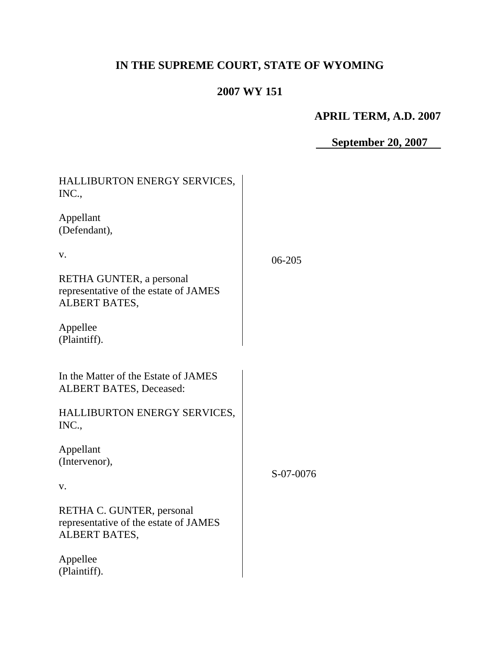# **IN THE SUPREME COURT, STATE OF WYOMING**

# **2007 WY 151**

# **APRIL TERM, A.D. 2007**

 **September 20, 2007**

| HALLIBURTON ENERGY SERVICES,<br>INC.,                                                      |           |
|--------------------------------------------------------------------------------------------|-----------|
| Appellant<br>(Defendant),                                                                  |           |
| V.                                                                                         | 06-205    |
| RETHA GUNTER, a personal<br>representative of the estate of JAMES<br><b>ALBERT BATES,</b>  |           |
| Appellee<br>(Plaintiff).                                                                   |           |
| In the Matter of the Estate of JAMES<br><b>ALBERT BATES, Deceased:</b>                     |           |
| HALLIBURTON ENERGY SERVICES,<br>INC.,                                                      |           |
| Appellant<br>(Intervenor),                                                                 | S-07-0076 |
| V.                                                                                         |           |
| RETHA C. GUNTER, personal<br>representative of the estate of JAMES<br><b>ALBERT BATES,</b> |           |
| Appellee<br>(Plaintiff).                                                                   |           |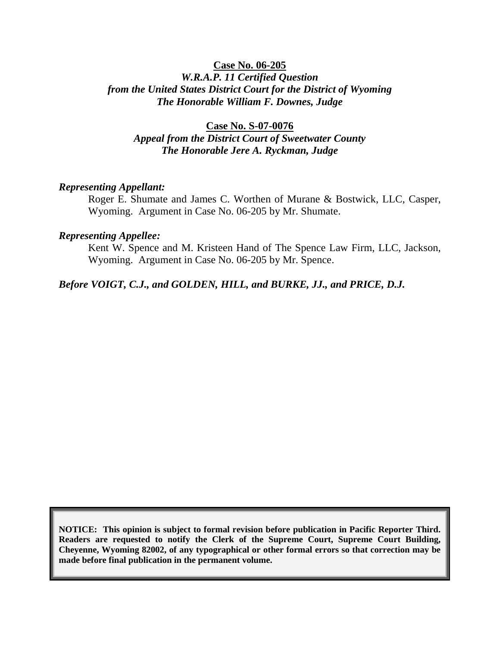## **Case No. 06-205** *W.R.A.P. 11 Certified Question from the United States District Court for the District of Wyoming The Honorable William F. Downes, Judge*

**Case No. S-07-0076** *Appeal from the District Court of Sweetwater County The Honorable Jere A. Ryckman, Judge*

#### *Representing Appellant:*

Roger E. Shumate and James C. Worthen of Murane & Bostwick, LLC, Casper, Wyoming. Argument in Case No. 06-205 by Mr. Shumate.

#### *Representing Appellee:*

Kent W. Spence and M. Kristeen Hand of The Spence Law Firm, LLC, Jackson, Wyoming. Argument in Case No. 06-205 by Mr. Spence.

#### *Before VOIGT, C.J., and GOLDEN, HILL, and BURKE, JJ., and PRICE, D.J.*

**NOTICE: This opinion is subject to formal revision before publication in Pacific Reporter Third. Readers are requested to notify the Clerk of the Supreme Court, Supreme Court Building, Cheyenne, Wyoming 82002, of any typographical or other formal errors so that correction may be made before final publication in the permanent volume.**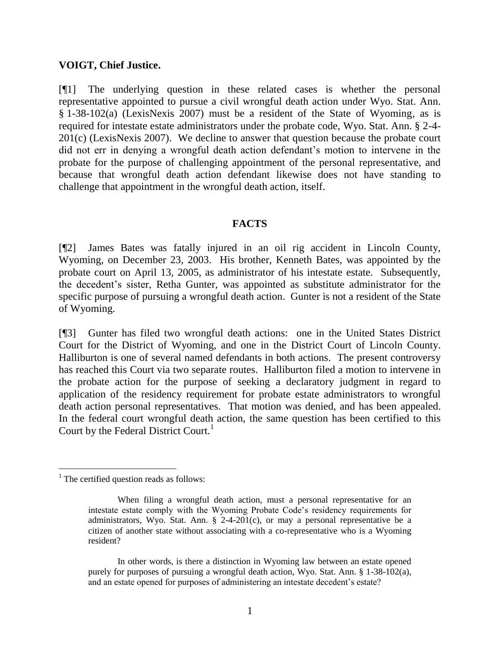### **VOIGT, Chief Justice.**

[¶1] The underlying question in these related cases is whether the personal representative appointed to pursue a civil wrongful death action under Wyo. Stat. Ann. § 1-38-102(a) (LexisNexis 2007) must be a resident of the State of Wyoming, as is required for intestate estate administrators under the probate code, Wyo. Stat. Ann. § 2-4- 201(c) (LexisNexis 2007). We decline to answer that question because the probate court did not err in denying a wrongful death action defendant's motion to intervene in the probate for the purpose of challenging appointment of the personal representative, and because that wrongful death action defendant likewise does not have standing to challenge that appointment in the wrongful death action, itself.

## **FACTS**

[¶2] James Bates was fatally injured in an oil rig accident in Lincoln County, Wyoming, on December 23, 2003. His brother, Kenneth Bates, was appointed by the probate court on April 13, 2005, as administrator of his intestate estate. Subsequently, the decedent's sister, Retha Gunter, was appointed as substitute administrator for the specific purpose of pursuing a wrongful death action. Gunter is not a resident of the State of Wyoming.

[¶3] Gunter has filed two wrongful death actions: one in the United States District Court for the District of Wyoming, and one in the District Court of Lincoln County. Halliburton is one of several named defendants in both actions. The present controversy has reached this Court via two separate routes. Halliburton filed a motion to intervene in the probate action for the purpose of seeking a declaratory judgment in regard to application of the residency requirement for probate estate administrators to wrongful death action personal representatives. That motion was denied, and has been appealed. In the federal court wrongful death action, the same question has been certified to this Court by the Federal District Court.<sup>1</sup>

 $\overline{a}$ 

 $<sup>1</sup>$  The certified question reads as follows:</sup>

When filing a wrongful death action, must a personal representative for an intestate estate comply with the Wyoming Probate Code's residency requirements for administrators, Wyo. Stat. Ann.  $\S$  2-4-201(c), or may a personal representative be a citizen of another state without associating with a co-representative who is a Wyoming resident?

In other words, is there a distinction in Wyoming law between an estate opened purely for purposes of pursuing a wrongful death action, Wyo. Stat. Ann. § 1-38-102(a), and an estate opened for purposes of administering an intestate decedent's estate?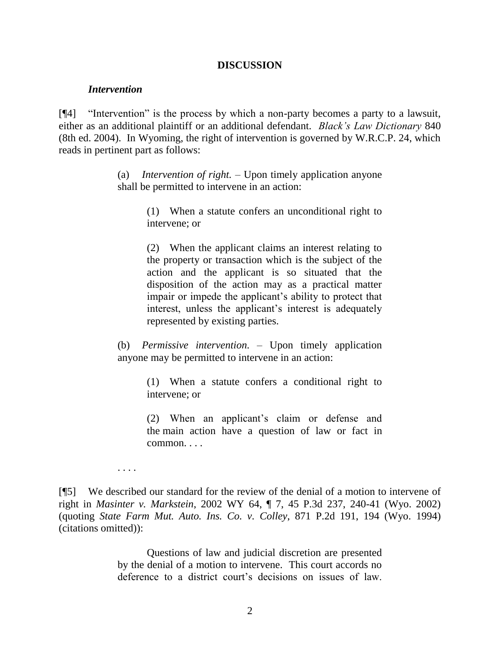#### **DISCUSSION**

#### *Intervention*

[¶4] "Intervention" is the process by which a non-party becomes a party to a lawsuit, either as an additional plaintiff or an additional defendant. *Black's Law Dictionary* 840 (8th ed. 2004). In Wyoming, the right of intervention is governed by W.R.C.P. 24, which reads in pertinent part as follows:

> (a) *Intervention of right.* – Upon timely application anyone shall be permitted to intervene in an action:

> > (1) When a statute confers an unconditional right to intervene; or

> > (2) When the applicant claims an interest relating to the property or transaction which is the subject of the action and the applicant is so situated that the disposition of the action may as a practical matter impair or impede the applicant's ability to protect that interest, unless the applicant's interest is adequately represented by existing parties.

(b) *Permissive intervention.* – Upon timely application anyone may be permitted to intervene in an action:

> (1) When a statute confers a conditional right to intervene; or

> (2) When an applicant's claim or defense and the main action have a question of law or fact in common. . . .

. . . .

[¶5] We described our standard for the review of the denial of a motion to intervene of right in *Masinter v. Markstein*, 2002 WY 64, ¶ 7, 45 P.3d 237, 240-41 (Wyo. 2002) (quoting *State Farm Mut. Auto. Ins. Co. v. Colley*, 871 P.2d 191, 194 (Wyo. 1994) (citations omitted)):

> Questions of law and judicial discretion are presented by the denial of a motion to intervene. This court accords no deference to a district court's decisions on issues of law.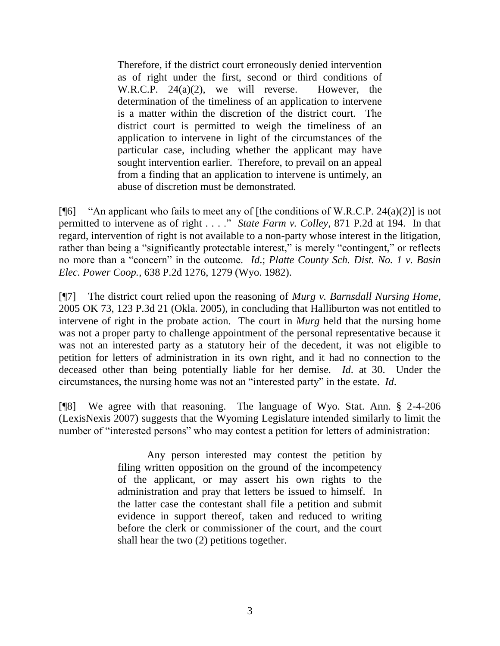Therefore, if the district court erroneously denied intervention as of right under the first, second or third conditions of W.R.C.P. 24(a)(2), we will reverse. However, the determination of the timeliness of an application to intervene is a matter within the discretion of the district court. The district court is permitted to weigh the timeliness of an application to intervene in light of the circumstances of the particular case, including whether the applicant may have sought intervention earlier. Therefore, to prevail on an appeal from a finding that an application to intervene is untimely, an abuse of discretion must be demonstrated.

[ $[$ 6] "An applicant who fails to meet any of [the conditions of W.R.C.P. 24(a)(2)] is not permitted to intervene as of right . . . ." *State Farm v. Colley*, 871 P.2d at 194. In that regard, intervention of right is not available to a non-party whose interest in the litigation, rather than being a "significantly protectable interest," is merely "contingent," or reflects no more than a "concern" in the outcome. *Id*.; *Platte County Sch. Dist. No. 1 v. Basin Elec. Power Coop.*, 638 P.2d 1276, 1279 (Wyo. 1982).

[¶7] The district court relied upon the reasoning of *Murg v. Barnsdall Nursing Home*, 2005 OK 73, 123 P.3d 21 (Okla. 2005), in concluding that Halliburton was not entitled to intervene of right in the probate action. The court in *Murg* held that the nursing home was not a proper party to challenge appointment of the personal representative because it was not an interested party as a statutory heir of the decedent, it was not eligible to petition for letters of administration in its own right, and it had no connection to the deceased other than being potentially liable for her demise. *Id*. at 30. Under the circumstances, the nursing home was not an "interested party" in the estate. *Id*.

[¶8] We agree with that reasoning. The language of Wyo. Stat. Ann. § 2-4-206 (LexisNexis 2007) suggests that the Wyoming Legislature intended similarly to limit the number of "interested persons" who may contest a petition for letters of administration:

> Any person interested may contest the petition by filing written opposition on the ground of the incompetency of the applicant, or may assert his own rights to the administration and pray that letters be issued to himself. In the latter case the contestant shall file a petition and submit evidence in support thereof, taken and reduced to writing before the clerk or commissioner of the court, and the court shall hear the two (2) petitions together.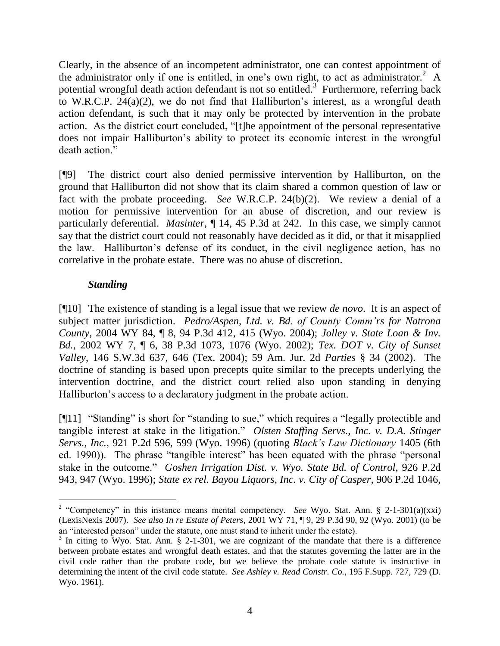Clearly, in the absence of an incompetent administrator, one can contest appointment of the administrator only if one is entitled, in one's own right, to act as administrator.<sup>2</sup> A potential wrongful death action defendant is not so entitled.<sup>3</sup> Furthermore, referring back to W.R.C.P. 24(a)(2), we do not find that Halliburton's interest, as a wrongful death action defendant, is such that it may only be protected by intervention in the probate action. As the district court concluded, "[t]he appointment of the personal representative does not impair Halliburton's ability to protect its economic interest in the wrongful death action."

[¶9] The district court also denied permissive intervention by Halliburton, on the ground that Halliburton did not show that its claim shared a common question of law or fact with the probate proceeding. *See* W.R.C.P. 24(b)(2). We review a denial of a motion for permissive intervention for an abuse of discretion, and our review is particularly deferential. *Masinter*, ¶ 14, 45 P.3d at 242. In this case, we simply cannot say that the district court could not reasonably have decided as it did, or that it misapplied the law. Halliburton's defense of its conduct, in the civil negligence action, has no correlative in the probate estate. There was no abuse of discretion.

# *Standing*

 $\overline{a}$ 

[¶10] The existence of standing is a legal issue that we review *de novo*. It is an aspect of subject matter jurisdiction. *Pedro/Aspen, Ltd. v. Bd. of County Comm'rs for Natrona County*, 2004 WY 84, ¶ 8, 94 P.3d 412, 415 (Wyo. 2004); *Jolley v. State Loan & Inv. Bd.*, 2002 WY 7, ¶ 6, 38 P.3d 1073, 1076 (Wyo. 2002); *Tex. DOT v. City of Sunset Valley*, 146 S.W.3d 637, 646 (Tex. 2004); 59 Am. Jur. 2d *Parties* § 34 (2002). The doctrine of standing is based upon precepts quite similar to the precepts underlying the intervention doctrine, and the district court relied also upon standing in denying Halliburton's access to a declaratory judgment in the probate action.

[¶11] "Standing" is short for "standing to sue," which requires a "legally protectible and tangible interest at stake in the litigation." *Olsten Staffing Servs., Inc. v. D.A. Stinger Servs., Inc.*, 921 P.2d 596, 599 (Wyo. 1996) (quoting *Black's Law Dictionary* 1405 (6th ed. 1990)). The phrase "tangible interest" has been equated with the phrase "personal stake in the outcome." *Goshen Irrigation Dist. v. Wyo. State Bd. of Control*, 926 P.2d 943, 947 (Wyo. 1996); *State ex rel. Bayou Liquors, Inc. v. City of Casper*, 906 P.2d 1046,

<sup>&</sup>lt;sup>2</sup> "Competency" in this instance means mental competency. *See* Wyo. Stat. Ann. § 2-1-301(a)(xxi) (LexisNexis 2007). *See also In re Estate of Peters*, 2001 WY 71, ¶ 9, 29 P.3d 90, 92 (Wyo. 2001) (to be an "interested person" under the statute, one must stand to inherit under the estate).

 $3$  In citing to Wyo. Stat. Ann. § 2-1-301, we are cognizant of the mandate that there is a difference between probate estates and wrongful death estates, and that the statutes governing the latter are in the civil code rather than the probate code, but we believe the probate code statute is instructive in determining the intent of the civil code statute. *See Ashley v. Read Constr. Co.*, 195 F.Supp. 727, 729 (D. Wyo. 1961).